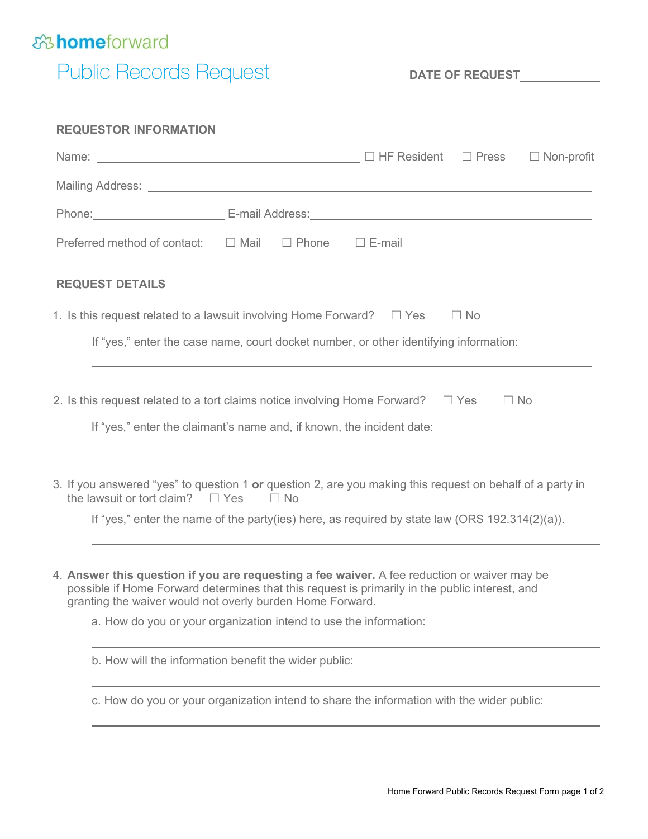

## Public Records Request **DATE OF REQUEST\_\_\_\_\_\_\_**

| <b>REQUESTOR INFORMATION</b>                                                                                                                                                                                                                                |                   |
|-------------------------------------------------------------------------------------------------------------------------------------------------------------------------------------------------------------------------------------------------------------|-------------------|
|                                                                                                                                                                                                                                                             | $\Box$ Non-profit |
|                                                                                                                                                                                                                                                             |                   |
| Phone: Contract Contract Contract Contract Contract Contract Contract Contract Contract Contract Contract Contract Contract Contract Contract Contract Contract Contract Contract Contract Contract Contract Contract Contract                              |                   |
| Preferred method of contact: $\square$ Mail $\square$ Phone                                                                                                                                                                                                 | $\square$ E-mail  |
| <b>REQUEST DETAILS</b>                                                                                                                                                                                                                                      |                   |
| 1. Is this request related to a lawsuit involving Home Forward? $\square$ Yes                                                                                                                                                                               | $\Box$ No         |
| If "yes," enter the case name, court docket number, or other identifying information:                                                                                                                                                                       |                   |
|                                                                                                                                                                                                                                                             |                   |
| 2. Is this request related to a tort claims notice involving Home Forward? $\square$ Yes                                                                                                                                                                    | $\Box$ No         |
| If "yes," enter the claimant's name and, if known, the incident date:                                                                                                                                                                                       |                   |
| 3. If you answered "yes" to question 1 or question 2, are you making this request on behalf of a party in<br>the lawsuit or tort claim? $\square$ Yes<br>$\Box$ No                                                                                          |                   |
| If "yes," enter the name of the party(ies) here, as required by state law (ORS 192.314(2)(a)).                                                                                                                                                              |                   |
|                                                                                                                                                                                                                                                             |                   |
| 4. Answer this question if you are requesting a fee waiver. A fee reduction or waiver may be<br>possible if Home Forward determines that this request is primarily in the public interest, and<br>granting the waiver would not overly burden Home Forward. |                   |
| a. How do you or your organization intend to use the information:                                                                                                                                                                                           |                   |
| b. How will the information benefit the wider public:                                                                                                                                                                                                       |                   |

c. How do you or your organization intend to share the information with the wider public: